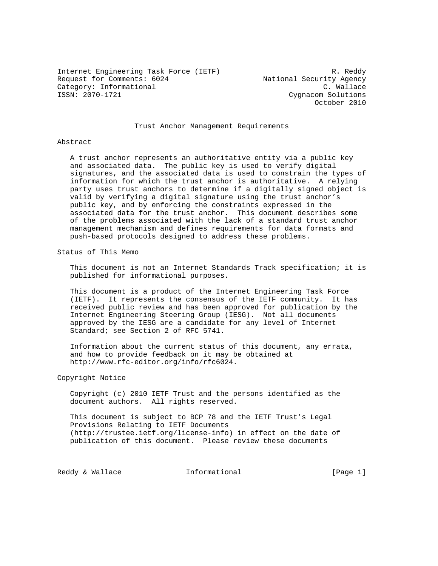Internet Engineering Task Force (IETF) R. Reddy Request for Comments: 6024 Mational Security Agency Category: Informational C. Wallace<br>
ISSN: 2070-1721 Cygnacom Solutions

Cygnacom Solutions October 2010

## Trust Anchor Management Requirements

#### Abstract

 A trust anchor represents an authoritative entity via a public key and associated data. The public key is used to verify digital signatures, and the associated data is used to constrain the types of information for which the trust anchor is authoritative. A relying party uses trust anchors to determine if a digitally signed object is valid by verifying a digital signature using the trust anchor's public key, and by enforcing the constraints expressed in the associated data for the trust anchor. This document describes some of the problems associated with the lack of a standard trust anchor management mechanism and defines requirements for data formats and push-based protocols designed to address these problems.

Status of This Memo

 This document is not an Internet Standards Track specification; it is published for informational purposes.

 This document is a product of the Internet Engineering Task Force (IETF). It represents the consensus of the IETF community. It has received public review and has been approved for publication by the Internet Engineering Steering Group (IESG). Not all documents approved by the IESG are a candidate for any level of Internet Standard; see Section 2 of RFC 5741.

 Information about the current status of this document, any errata, and how to provide feedback on it may be obtained at http://www.rfc-editor.org/info/rfc6024.

#### Copyright Notice

 Copyright (c) 2010 IETF Trust and the persons identified as the document authors. All rights reserved.

 This document is subject to BCP 78 and the IETF Trust's Legal Provisions Relating to IETF Documents (http://trustee.ietf.org/license-info) in effect on the date of publication of this document. Please review these documents

Reddy & Wallace  $I_n$  Informational  $[Page 1]$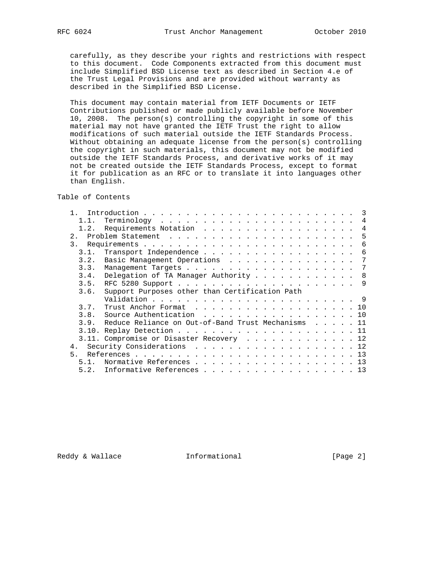carefully, as they describe your rights and restrictions with respect to this document. Code Components extracted from this document must include Simplified BSD License text as described in Section 4.e of the Trust Legal Provisions and are provided without warranty as described in the Simplified BSD License.

 This document may contain material from IETF Documents or IETF Contributions published or made publicly available before November 10, 2008. The person(s) controlling the copyright in some of this material may not have granted the IETF Trust the right to allow modifications of such material outside the IETF Standards Process. Without obtaining an adequate license from the person(s) controlling the copyright in such materials, this document may not be modified outside the IETF Standards Process, and derivative works of it may not be created outside the IETF Standards Process, except to format it for publication as an RFC or to translate it into languages other than English.

Table of Contents

| 1.1.                                                                                |  |  |  | 4  |
|-------------------------------------------------------------------------------------|--|--|--|----|
| Requirements Notation<br>1.2.                                                       |  |  |  | 4  |
| 2.                                                                                  |  |  |  | -5 |
| 3.                                                                                  |  |  |  | 6  |
| Transport Independence<br>3.1.                                                      |  |  |  | 6  |
| Basic Management Operations<br>3.2.                                                 |  |  |  | 7  |
| 3.3.                                                                                |  |  |  | -7 |
| Delegation of TA Manager Authority<br>3.4.                                          |  |  |  | 8  |
| 3.5.                                                                                |  |  |  |    |
| Support Purposes other than Certification Path<br>3.6.                              |  |  |  |    |
|                                                                                     |  |  |  |    |
| 3.7.<br>Trust Anchor Format $\dots \dots \dots \dots \dots \dots \dots \dots \dots$ |  |  |  |    |
| 3.8.<br>Source Authentication 10                                                    |  |  |  |    |
| Reduce Reliance on Out-of-Band Trust Mechanisms 11<br>3.9.                          |  |  |  |    |
|                                                                                     |  |  |  |    |
| 3.11. Compromise or Disaster Recovery 12                                            |  |  |  |    |
| 4.                                                                                  |  |  |  | 12 |
| 5                                                                                   |  |  |  | 13 |
| Normative References 13<br>5.1.                                                     |  |  |  |    |
|                                                                                     |  |  |  |    |

Reddy & Wallace **Informational** [Page 2]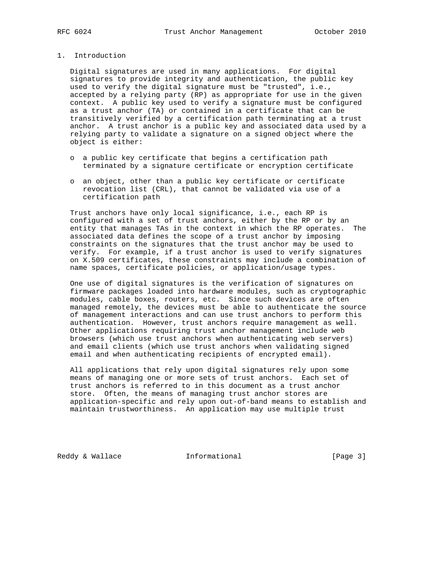## 1. Introduction

 Digital signatures are used in many applications. For digital signatures to provide integrity and authentication, the public key used to verify the digital signature must be "trusted", i.e., accepted by a relying party (RP) as appropriate for use in the given context. A public key used to verify a signature must be configured as a trust anchor (TA) or contained in a certificate that can be transitively verified by a certification path terminating at a trust anchor. A trust anchor is a public key and associated data used by a relying party to validate a signature on a signed object where the object is either:

- o a public key certificate that begins a certification path terminated by a signature certificate or encryption certificate
- o an object, other than a public key certificate or certificate revocation list (CRL), that cannot be validated via use of a certification path

 Trust anchors have only local significance, i.e., each RP is configured with a set of trust anchors, either by the RP or by an entity that manages TAs in the context in which the RP operates. The associated data defines the scope of a trust anchor by imposing constraints on the signatures that the trust anchor may be used to verify. For example, if a trust anchor is used to verify signatures on X.509 certificates, these constraints may include a combination of name spaces, certificate policies, or application/usage types.

 One use of digital signatures is the verification of signatures on firmware packages loaded into hardware modules, such as cryptographic modules, cable boxes, routers, etc. Since such devices are often managed remotely, the devices must be able to authenticate the source of management interactions and can use trust anchors to perform this authentication. However, trust anchors require management as well. Other applications requiring trust anchor management include web browsers (which use trust anchors when authenticating web servers) and email clients (which use trust anchors when validating signed email and when authenticating recipients of encrypted email).

 All applications that rely upon digital signatures rely upon some means of managing one or more sets of trust anchors. Each set of trust anchors is referred to in this document as a trust anchor store. Often, the means of managing trust anchor stores are application-specific and rely upon out-of-band means to establish and maintain trustworthiness. An application may use multiple trust

Reddy & Wallace **Informational** [Page 3]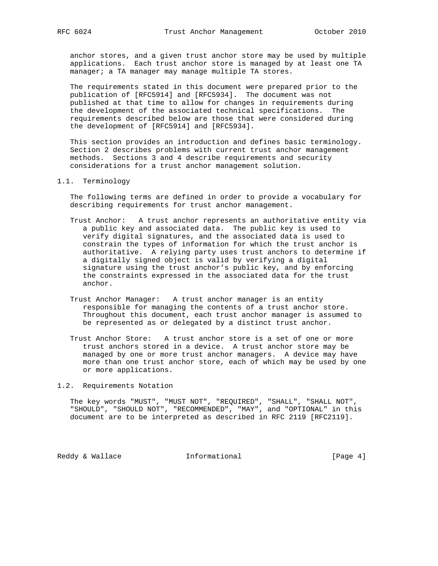anchor stores, and a given trust anchor store may be used by multiple applications. Each trust anchor store is managed by at least one TA manager; a TA manager may manage multiple TA stores.

 The requirements stated in this document were prepared prior to the publication of [RFC5914] and [RFC5934]. The document was not published at that time to allow for changes in requirements during the development of the associated technical specifications. The requirements described below are those that were considered during the development of [RFC5914] and [RFC5934].

 This section provides an introduction and defines basic terminology. Section 2 describes problems with current trust anchor management methods. Sections 3 and 4 describe requirements and security considerations for a trust anchor management solution.

1.1. Terminology

 The following terms are defined in order to provide a vocabulary for describing requirements for trust anchor management.

- Trust Anchor: A trust anchor represents an authoritative entity via a public key and associated data. The public key is used to verify digital signatures, and the associated data is used to constrain the types of information for which the trust anchor is authoritative. A relying party uses trust anchors to determine if a digitally signed object is valid by verifying a digital signature using the trust anchor's public key, and by enforcing the constraints expressed in the associated data for the trust anchor.
- Trust Anchor Manager: A trust anchor manager is an entity responsible for managing the contents of a trust anchor store. Throughout this document, each trust anchor manager is assumed to be represented as or delegated by a distinct trust anchor.
- Trust Anchor Store: A trust anchor store is a set of one or more trust anchors stored in a device. A trust anchor store may be managed by one or more trust anchor managers. A device may have more than one trust anchor store, each of which may be used by one or more applications.

1.2. Requirements Notation

 The key words "MUST", "MUST NOT", "REQUIRED", "SHALL", "SHALL NOT", "SHOULD", "SHOULD NOT", "RECOMMENDED", "MAY", and "OPTIONAL" in this document are to be interpreted as described in RFC 2119 [RFC2119].

Reddy & Wallace **Informational** [Page 4]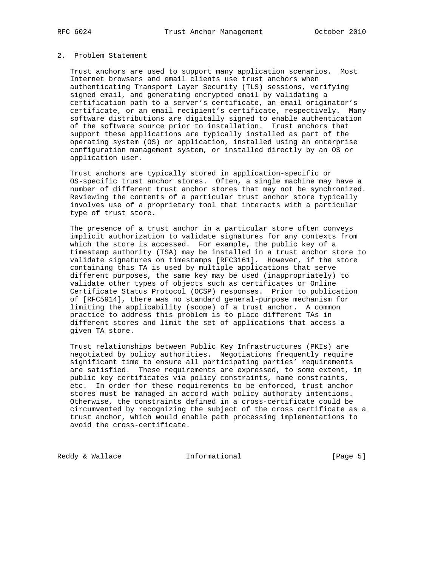#### 2. Problem Statement

 Trust anchors are used to support many application scenarios. Most Internet browsers and email clients use trust anchors when authenticating Transport Layer Security (TLS) sessions, verifying signed email, and generating encrypted email by validating a certification path to a server's certificate, an email originator's certificate, or an email recipient's certificate, respectively. Many software distributions are digitally signed to enable authentication of the software source prior to installation. Trust anchors that support these applications are typically installed as part of the operating system (OS) or application, installed using an enterprise configuration management system, or installed directly by an OS or application user.

 Trust anchors are typically stored in application-specific or OS-specific trust anchor stores. Often, a single machine may have a number of different trust anchor stores that may not be synchronized. Reviewing the contents of a particular trust anchor store typically involves use of a proprietary tool that interacts with a particular type of trust store.

 The presence of a trust anchor in a particular store often conveys implicit authorization to validate signatures for any contexts from which the store is accessed. For example, the public key of a timestamp authority (TSA) may be installed in a trust anchor store to validate signatures on timestamps [RFC3161]. However, if the store containing this TA is used by multiple applications that serve different purposes, the same key may be used (inappropriately) to validate other types of objects such as certificates or Online Certificate Status Protocol (OCSP) responses. Prior to publication of [RFC5914], there was no standard general-purpose mechanism for limiting the applicability (scope) of a trust anchor. A common practice to address this problem is to place different TAs in different stores and limit the set of applications that access a given TA store.

 Trust relationships between Public Key Infrastructures (PKIs) are negotiated by policy authorities. Negotiations frequently require significant time to ensure all participating parties' requirements are satisfied. These requirements are expressed, to some extent, in public key certificates via policy constraints, name constraints, etc. In order for these requirements to be enforced, trust anchor stores must be managed in accord with policy authority intentions. Otherwise, the constraints defined in a cross-certificate could be circumvented by recognizing the subject of the cross certificate as a trust anchor, which would enable path processing implementations to avoid the cross-certificate.

Reddy & Wallace **Informational** [Page 5]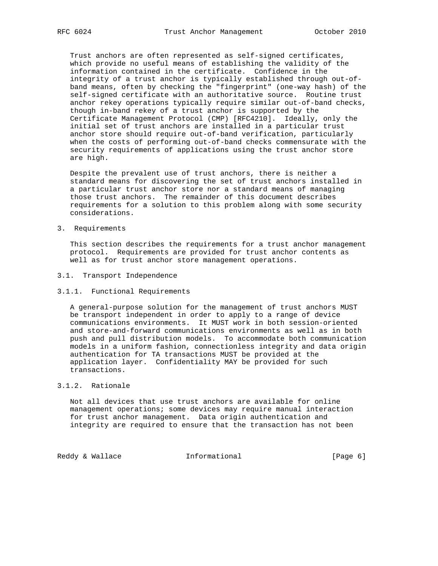Trust anchors are often represented as self-signed certificates, which provide no useful means of establishing the validity of the information contained in the certificate. Confidence in the integrity of a trust anchor is typically established through out-of band means, often by checking the "fingerprint" (one-way hash) of the self-signed certificate with an authoritative source. Routine trust anchor rekey operations typically require similar out-of-band checks, though in-band rekey of a trust anchor is supported by the Certificate Management Protocol (CMP) [RFC4210]. Ideally, only the initial set of trust anchors are installed in a particular trust anchor store should require out-of-band verification, particularly when the costs of performing out-of-band checks commensurate with the security requirements of applications using the trust anchor store are high.

 Despite the prevalent use of trust anchors, there is neither a standard means for discovering the set of trust anchors installed in a particular trust anchor store nor a standard means of managing those trust anchors. The remainder of this document describes requirements for a solution to this problem along with some security considerations.

3. Requirements

 This section describes the requirements for a trust anchor management protocol. Requirements are provided for trust anchor contents as well as for trust anchor store management operations.

- 3.1. Transport Independence
- 3.1.1. Functional Requirements

 A general-purpose solution for the management of trust anchors MUST be transport independent in order to apply to a range of device communications environments. It MUST work in both session-oriented and store-and-forward communications environments as well as in both push and pull distribution models. To accommodate both communication models in a uniform fashion, connectionless integrity and data origin authentication for TA transactions MUST be provided at the application layer. Confidentiality MAY be provided for such transactions.

## 3.1.2. Rationale

 Not all devices that use trust anchors are available for online management operations; some devices may require manual interaction for trust anchor management. Data origin authentication and integrity are required to ensure that the transaction has not been

Reddy & Wallace **Informational** [Page 6]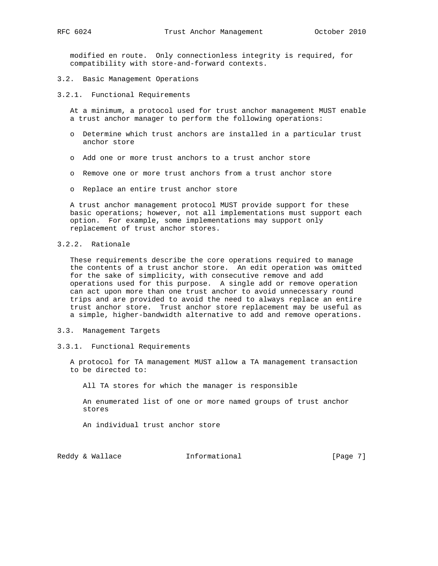modified en route. Only connectionless integrity is required, for compatibility with store-and-forward contexts.

3.2. Basic Management Operations

3.2.1. Functional Requirements

 At a minimum, a protocol used for trust anchor management MUST enable a trust anchor manager to perform the following operations:

- o Determine which trust anchors are installed in a particular trust anchor store
- o Add one or more trust anchors to a trust anchor store
- o Remove one or more trust anchors from a trust anchor store
- o Replace an entire trust anchor store

 A trust anchor management protocol MUST provide support for these basic operations; however, not all implementations must support each option. For example, some implementations may support only replacement of trust anchor stores.

# 3.2.2. Rationale

 These requirements describe the core operations required to manage the contents of a trust anchor store. An edit operation was omitted for the sake of simplicity, with consecutive remove and add operations used for this purpose. A single add or remove operation can act upon more than one trust anchor to avoid unnecessary round trips and are provided to avoid the need to always replace an entire trust anchor store. Trust anchor store replacement may be useful as a simple, higher-bandwidth alternative to add and remove operations.

- 3.3. Management Targets
- 3.3.1. Functional Requirements

 A protocol for TA management MUST allow a TA management transaction to be directed to:

All TA stores for which the manager is responsible

 An enumerated list of one or more named groups of trust anchor stores

An individual trust anchor store

Reddy & Wallace  $I_n$  Informational [Page 7]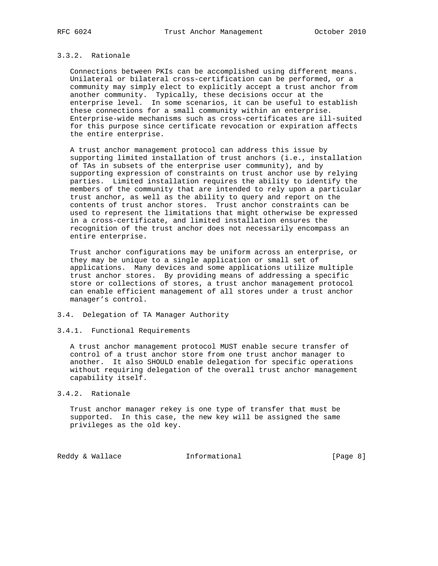# 3.3.2. Rationale

 Connections between PKIs can be accomplished using different means. Unilateral or bilateral cross-certification can be performed, or a community may simply elect to explicitly accept a trust anchor from another community. Typically, these decisions occur at the enterprise level. In some scenarios, it can be useful to establish these connections for a small community within an enterprise. Enterprise-wide mechanisms such as cross-certificates are ill-suited for this purpose since certificate revocation or expiration affects the entire enterprise.

 A trust anchor management protocol can address this issue by supporting limited installation of trust anchors (i.e., installation of TAs in subsets of the enterprise user community), and by supporting expression of constraints on trust anchor use by relying parties. Limited installation requires the ability to identify the members of the community that are intended to rely upon a particular trust anchor, as well as the ability to query and report on the contents of trust anchor stores. Trust anchor constraints can be used to represent the limitations that might otherwise be expressed in a cross-certificate, and limited installation ensures the recognition of the trust anchor does not necessarily encompass an entire enterprise.

 Trust anchor configurations may be uniform across an enterprise, or they may be unique to a single application or small set of applications. Many devices and some applications utilize multiple trust anchor stores. By providing means of addressing a specific store or collections of stores, a trust anchor management protocol can enable efficient management of all stores under a trust anchor manager's control.

# 3.4. Delegation of TA Manager Authority

#### 3.4.1. Functional Requirements

 A trust anchor management protocol MUST enable secure transfer of control of a trust anchor store from one trust anchor manager to another. It also SHOULD enable delegation for specific operations without requiring delegation of the overall trust anchor management capability itself.

## 3.4.2. Rationale

 Trust anchor manager rekey is one type of transfer that must be supported. In this case, the new key will be assigned the same privileges as the old key.

Reddy & Wallace **Informational** [Page 8]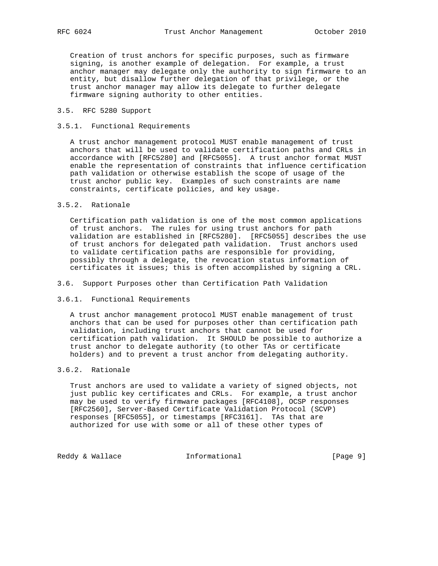Creation of trust anchors for specific purposes, such as firmware signing, is another example of delegation. For example, a trust anchor manager may delegate only the authority to sign firmware to an entity, but disallow further delegation of that privilege, or the trust anchor manager may allow its delegate to further delegate firmware signing authority to other entities.

### 3.5. RFC 5280 Support

### 3.5.1. Functional Requirements

 A trust anchor management protocol MUST enable management of trust anchors that will be used to validate certification paths and CRLs in accordance with [RFC5280] and [RFC5055]. A trust anchor format MUST enable the representation of constraints that influence certification path validation or otherwise establish the scope of usage of the trust anchor public key. Examples of such constraints are name constraints, certificate policies, and key usage.

### 3.5.2. Rationale

 Certification path validation is one of the most common applications of trust anchors. The rules for using trust anchors for path validation are established in [RFC5280]. [RFC5055] describes the use of trust anchors for delegated path validation. Trust anchors used to validate certification paths are responsible for providing, possibly through a delegate, the revocation status information of certificates it issues; this is often accomplished by signing a CRL.

#### 3.6. Support Purposes other than Certification Path Validation

#### 3.6.1. Functional Requirements

 A trust anchor management protocol MUST enable management of trust anchors that can be used for purposes other than certification path validation, including trust anchors that cannot be used for certification path validation. It SHOULD be possible to authorize a trust anchor to delegate authority (to other TAs or certificate holders) and to prevent a trust anchor from delegating authority.

# 3.6.2. Rationale

 Trust anchors are used to validate a variety of signed objects, not just public key certificates and CRLs. For example, a trust anchor may be used to verify firmware packages [RFC4108], OCSP responses [RFC2560], Server-Based Certificate Validation Protocol (SCVP) responses [RFC5055], or timestamps [RFC3161]. TAs that are authorized for use with some or all of these other types of

Reddy & Wallace **Informational** [Page 9]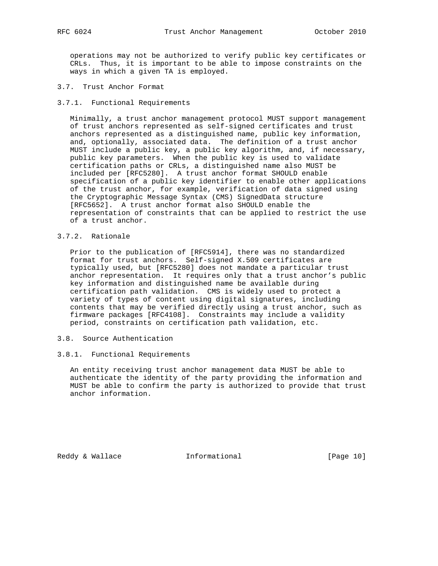operations may not be authorized to verify public key certificates or CRLs. Thus, it is important to be able to impose constraints on the ways in which a given TA is employed.

3.7. Trust Anchor Format

#### 3.7.1. Functional Requirements

 Minimally, a trust anchor management protocol MUST support management of trust anchors represented as self-signed certificates and trust anchors represented as a distinguished name, public key information, and, optionally, associated data. The definition of a trust anchor MUST include a public key, a public key algorithm, and, if necessary, public key parameters. When the public key is used to validate certification paths or CRLs, a distinguished name also MUST be included per [RFC5280]. A trust anchor format SHOULD enable specification of a public key identifier to enable other applications of the trust anchor, for example, verification of data signed using the Cryptographic Message Syntax (CMS) SignedData structure [RFC5652]. A trust anchor format also SHOULD enable the representation of constraints that can be applied to restrict the use of a trust anchor.

3.7.2. Rationale

 Prior to the publication of [RFC5914], there was no standardized format for trust anchors. Self-signed X.509 certificates are typically used, but [RFC5280] does not mandate a particular trust anchor representation. It requires only that a trust anchor's public key information and distinguished name be available during certification path validation. CMS is widely used to protect a variety of types of content using digital signatures, including contents that may be verified directly using a trust anchor, such as firmware packages [RFC4108]. Constraints may include a validity period, constraints on certification path validation, etc.

3.8. Source Authentication

#### 3.8.1. Functional Requirements

 An entity receiving trust anchor management data MUST be able to authenticate the identity of the party providing the information and MUST be able to confirm the party is authorized to provide that trust anchor information.

Reddy & Wallace **Informational** [Page 10]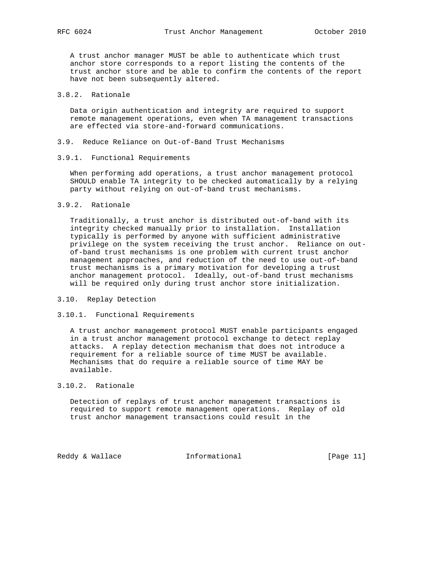A trust anchor manager MUST be able to authenticate which trust anchor store corresponds to a report listing the contents of the trust anchor store and be able to confirm the contents of the report have not been subsequently altered.

# 3.8.2. Rationale

 Data origin authentication and integrity are required to support remote management operations, even when TA management transactions are effected via store-and-forward communications.

- 3.9. Reduce Reliance on Out-of-Band Trust Mechanisms
- 3.9.1. Functional Requirements

 When performing add operations, a trust anchor management protocol SHOULD enable TA integrity to be checked automatically by a relying party without relying on out-of-band trust mechanisms.

3.9.2. Rationale

 Traditionally, a trust anchor is distributed out-of-band with its integrity checked manually prior to installation. Installation typically is performed by anyone with sufficient administrative privilege on the system receiving the trust anchor. Reliance on out of-band trust mechanisms is one problem with current trust anchor management approaches, and reduction of the need to use out-of-band trust mechanisms is a primary motivation for developing a trust anchor management protocol. Ideally, out-of-band trust mechanisms will be required only during trust anchor store initialization.

- 3.10. Replay Detection
- 3.10.1. Functional Requirements

 A trust anchor management protocol MUST enable participants engaged in a trust anchor management protocol exchange to detect replay attacks. A replay detection mechanism that does not introduce a requirement for a reliable source of time MUST be available. Mechanisms that do require a reliable source of time MAY be available.

## 3.10.2. Rationale

 Detection of replays of trust anchor management transactions is required to support remote management operations. Replay of old trust anchor management transactions could result in the

Reddy & Wallace **Informational** [Page 11]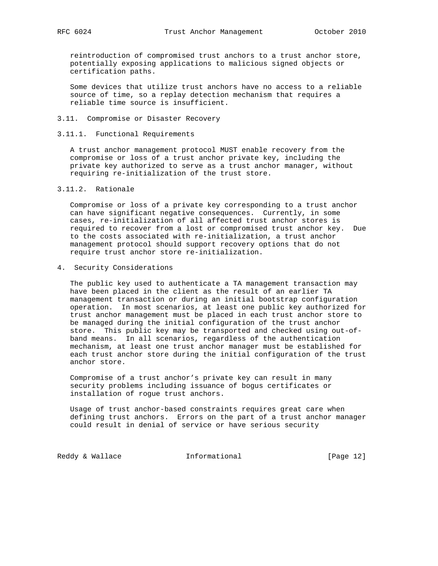reintroduction of compromised trust anchors to a trust anchor store, potentially exposing applications to malicious signed objects or certification paths.

 Some devices that utilize trust anchors have no access to a reliable source of time, so a replay detection mechanism that requires a reliable time source is insufficient.

- 3.11. Compromise or Disaster Recovery
- 3.11.1. Functional Requirements

 A trust anchor management protocol MUST enable recovery from the compromise or loss of a trust anchor private key, including the private key authorized to serve as a trust anchor manager, without requiring re-initialization of the trust store.

3.11.2. Rationale

 Compromise or loss of a private key corresponding to a trust anchor can have significant negative consequences. Currently, in some cases, re-initialization of all affected trust anchor stores is required to recover from a lost or compromised trust anchor key. Due to the costs associated with re-initialization, a trust anchor management protocol should support recovery options that do not require trust anchor store re-initialization.

4. Security Considerations

 The public key used to authenticate a TA management transaction may have been placed in the client as the result of an earlier TA management transaction or during an initial bootstrap configuration operation. In most scenarios, at least one public key authorized for trust anchor management must be placed in each trust anchor store to be managed during the initial configuration of the trust anchor store. This public key may be transported and checked using out-of band means. In all scenarios, regardless of the authentication mechanism, at least one trust anchor manager must be established for each trust anchor store during the initial configuration of the trust anchor store.

 Compromise of a trust anchor's private key can result in many security problems including issuance of bogus certificates or installation of rogue trust anchors.

 Usage of trust anchor-based constraints requires great care when defining trust anchors. Errors on the part of a trust anchor manager could result in denial of service or have serious security

Reddy & Wallace **Informational** [Page 12]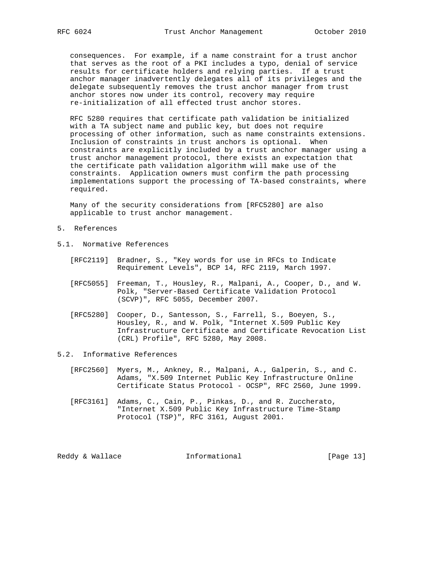consequences. For example, if a name constraint for a trust anchor that serves as the root of a PKI includes a typo, denial of service results for certificate holders and relying parties. If a trust anchor manager inadvertently delegates all of its privileges and the delegate subsequently removes the trust anchor manager from trust anchor stores now under its control, recovery may require re-initialization of all effected trust anchor stores.

 RFC 5280 requires that certificate path validation be initialized with a TA subject name and public key, but does not require processing of other information, such as name constraints extensions. Inclusion of constraints in trust anchors is optional. When constraints are explicitly included by a trust anchor manager using a trust anchor management protocol, there exists an expectation that the certificate path validation algorithm will make use of the constraints. Application owners must confirm the path processing implementations support the processing of TA-based constraints, where required.

 Many of the security considerations from [RFC5280] are also applicable to trust anchor management.

- 5. References
- 5.1. Normative References
	- [RFC2119] Bradner, S., "Key words for use in RFCs to Indicate Requirement Levels", BCP 14, RFC 2119, March 1997.
	- [RFC5055] Freeman, T., Housley, R., Malpani, A., Cooper, D., and W. Polk, "Server-Based Certificate Validation Protocol (SCVP)", RFC 5055, December 2007.
	- [RFC5280] Cooper, D., Santesson, S., Farrell, S., Boeyen, S., Housley, R., and W. Polk, "Internet X.509 Public Key Infrastructure Certificate and Certificate Revocation List (CRL) Profile", RFC 5280, May 2008.

### 5.2. Informative References

- [RFC2560] Myers, M., Ankney, R., Malpani, A., Galperin, S., and C. Adams, "X.509 Internet Public Key Infrastructure Online Certificate Status Protocol - OCSP", RFC 2560, June 1999.
- [RFC3161] Adams, C., Cain, P., Pinkas, D., and R. Zuccherato, "Internet X.509 Public Key Infrastructure Time-Stamp Protocol (TSP)", RFC 3161, August 2001.

Reddy & Wallace **Informational** [Page 13]